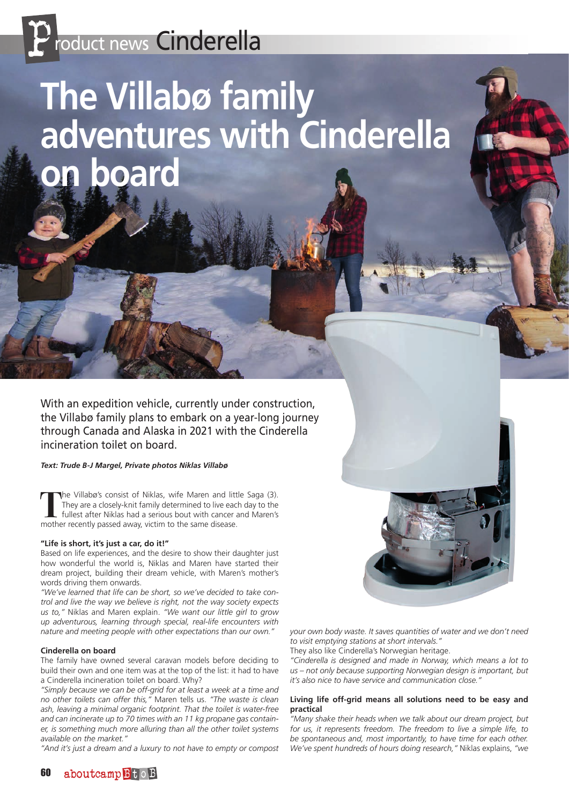## Product news Cinderella

# **The Villabø family adventures with Cinderella on board**

With an expedition vehicle, currently under construction, the Villabø family plans to embark on a year-long journey through Canada and Alaska in 2021 with the Cinderella incineration toilet on board.

*Text: Trude B-J Margel, Private photos Niklas Villabø*

**T**he Villabø's consist of Niklas, wife Maren and little Saga (3). They are a closely-knit family determined to live each day to the fullest after Niklas had a serious bout with cancer and Maren's mother recently passed away, victim to the same disease.

### **"Life is short, it's just a car, do it!"**

Based on life experiences, and the desire to show their daughter just how wonderful the world is, Niklas and Maren have started their dream project, building their dream vehicle, with Maren's mother's words driving them onwards.

*"We've learned that life can be short, so we've decided to take control and live the way we believe is right, not the way society expects us to,"* Niklas and Maren explain. *"We want our little girl to grow up adventurous, learning through special, real-life encounters with nature and meeting people with other expectations than our own."* 

#### **Cinderella on board**

The family have owned several caravan models before deciding to build their own and one item was at the top of the list: it had to have a Cinderella incineration toilet on board. Why?

*"Simply because we can be off-grid for at least a week at a time and no other toilets can offer this,"* Maren tells us. *"The waste is clean ash, leaving a minimal organic footprint. That the toilet is water-free and can incinerate up to 70 times with an 11 kg propane gas container, is something much more alluring than all the other toilet systems available on the market."*

*"And it's just a dream and a luxury to not have to empty or compost* 

*your own body waste. It saves quantities of water and we don't need to visit emptying stations at short intervals."*

They also like Cinderella's Norwegian heritage.

*"Cinderella is designed and made in Norway, which means a lot to us – not only because supporting Norwegian design is important, but it's also nice to have service and communication close."*

## **Living life off-grid means all solutions need to be easy and practical**

*"Many shake their heads when we talk about our dream project, but for us, it represents freedom. The freedom to live a simple life, to be spontaneous and, most importantly, to have time for each other. We've spent hundreds of hours doing research,"* Niklas explains, *"we*